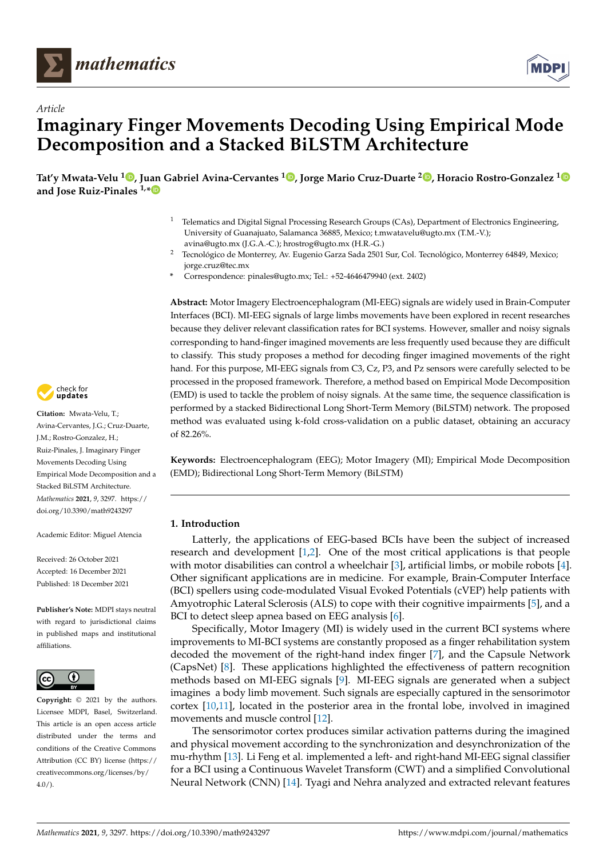

*Article*



# **Imaginary Finger Movements Decoding Using Empirical Mode Decomposition and a Stacked BiLSTM Architecture**

**Tat'y Mwata-Velu <sup>1</sup> [,](https://orcid.org/0000-0002-4346-8055) Juan Gabriel Avina-Cervantes <sup>1</sup> [,](https://orcid.org/0000-0003-1730-3748) Jorge Mario Cruz-Duarte <sup>2</sup> [,](https://orcid.org/0000-0003-4494-7864) Horacio Rostro-Gonzalez [1](https://orcid.org/0000-0001-7530-9027) and Jose Ruiz-Pinales 1,[\\*](https://orcid.org/0000-0003-2639-1487)**

- <sup>1</sup> Telematics and Digital Signal Processing Research Groups (CAs), Department of Electronics Engineering, University of Guanajuato, Salamanca 36885, Mexico; t.mwatavelu@ugto.mx (T.M.-V.); avina@ugto.mx (J.G.A.-C.); hrostrog@ugto.mx (H.R.-G.)
- <sup>2</sup> Tecnológico de Monterrey, Av. Eugenio Garza Sada 2501 Sur, Col. Tecnológico, Monterrey 64849, Mexico; jorge.cruz@tec.mx
- **\*** Correspondence: pinales@ugto.mx; Tel.: +52-4646479940 (ext. 2402)

**Abstract:** Motor Imagery Electroencephalogram (MI-EEG) signals are widely used in Brain-Computer Interfaces (BCI). MI-EEG signals of large limbs movements have been explored in recent researches because they deliver relevant classification rates for BCI systems. However, smaller and noisy signals corresponding to hand-finger imagined movements are less frequently used because they are difficult to classify. This study proposes a method for decoding finger imagined movements of the right hand. For this purpose, MI-EEG signals from C3, Cz, P3, and Pz sensors were carefully selected to be processed in the proposed framework. Therefore, a method based on Empirical Mode Decomposition (EMD) is used to tackle the problem of noisy signals. At the same time, the sequence classification is performed by a stacked Bidirectional Long Short-Term Memory (BiLSTM) network. The proposed method was evaluated using k-fold cross-validation on a public dataset, obtaining an accuracy of 82.26%.

**Keywords:** Electroencephalogram (EEG); Motor Imagery (MI); Empirical Mode Decomposition (EMD); Bidirectional Long Short-Term Memory (BiLSTM)

## **1. Introduction**

Latterly, the applications of EEG-based BCIs have been the subject of increased research and development [\[1](#page-11-0)[,2\]](#page-11-1). One of the most critical applications is that people with motor disabilities can control a wheelchair [\[3\]](#page-11-2), artificial limbs, or mobile robots [\[4\]](#page-11-3). Other significant applications are in medicine. For example, Brain-Computer Interface (BCI) spellers using code-modulated Visual Evoked Potentials (cVEP) help patients with Amyotrophic Lateral Sclerosis (ALS) to cope with their cognitive impairments [\[5\]](#page-11-4), and a BCI to detect sleep apnea based on EEG analysis [\[6\]](#page-12-0).

Specifically, Motor Imagery (MI) is widely used in the current BCI systems where improvements to MI-BCI systems are constantly proposed as a finger rehabilitation system decoded the movement of the right-hand index finger [\[7\]](#page-12-1), and the Capsule Network (CapsNet) [\[8\]](#page-12-2). These applications highlighted the effectiveness of pattern recognition methods based on MI-EEG signals [\[9\]](#page-12-3). MI-EEG signals are generated when a subject imagines a body limb movement. Such signals are especially captured in the sensorimotor cortex [\[10,](#page-12-4)[11\]](#page-12-5), located in the posterior area in the frontal lobe, involved in imagined movements and muscle control [\[12\]](#page-12-6).

The sensorimotor cortex produces similar activation patterns during the imagined and physical movement according to the synchronization and desynchronization of the mu-rhythm [\[13\]](#page-12-7). Li Feng et al. implemented a left- and right-hand MI-EEG signal classifier for a BCI using a Continuous Wavelet Transform (CWT) and a simplified Convolutional Neural Network (CNN) [\[14\]](#page-12-8). Tyagi and Nehra analyzed and extracted relevant features



**Citation:** Mwata-Velu, T.; Avina-Cervantes, J.G.; Cruz-Duarte, J.M.; Rostro-Gonzalez, H.; Ruiz-Pinales, J. Imaginary Finger Movements Decoding Using Empirical Mode Decomposition and a Stacked BiLSTM Architecture. *Mathematics* **2021**, *9*, 3297. [https://](https://doi.org/10.3390/math9243297) [doi.org/10.3390/math9243297](https://doi.org/10.3390/math9243297)

Academic Editor: Miguel Atencia

Received: 26 October 2021 Accepted: 16 December 2021 Published: 18 December 2021

**Publisher's Note:** MDPI stays neutral with regard to jurisdictional claims in published maps and institutional affiliations.



**Copyright:** © 2021 by the authors. Licensee MDPI, Basel, Switzerland. This article is an open access article distributed under the terms and conditions of the Creative Commons Attribution (CC BY) license (https:/[/](https://creativecommons.org/licenses/by/4.0/) [creativecommons.org/licenses/by/](https://creativecommons.org/licenses/by/4.0/)  $4.0/$ ).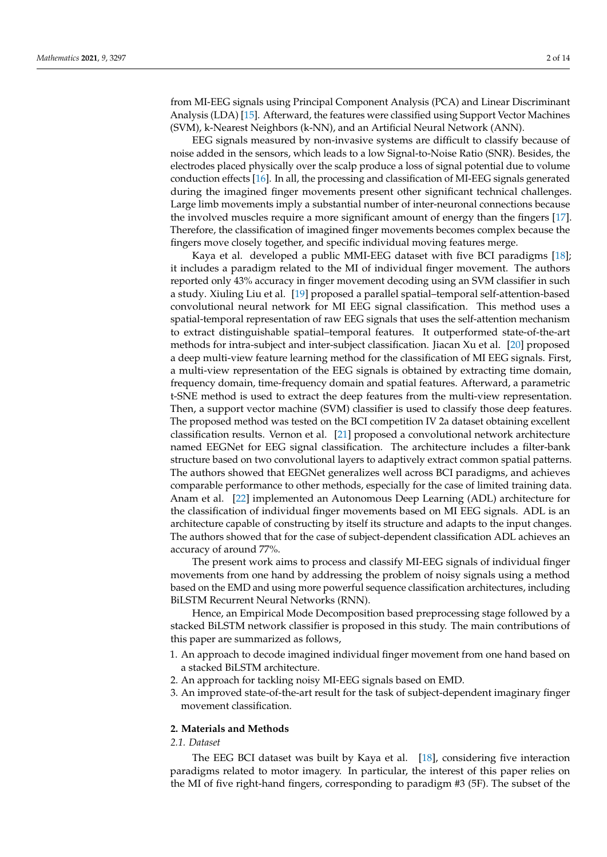from MI-EEG signals using Principal Component Analysis (PCA) and Linear Discriminant Analysis (LDA) [\[15\]](#page-12-9). Afterward, the features were classified using Support Vector Machines (SVM), k-Nearest Neighbors (k-NN), and an Artificial Neural Network (ANN).

EEG signals measured by non-invasive systems are difficult to classify because of noise added in the sensors, which leads to a low Signal-to-Noise Ratio (SNR). Besides, the electrodes placed physically over the scalp produce a loss of signal potential due to volume conduction effects [\[16\]](#page-12-10). In all, the processing and classification of MI-EEG signals generated during the imagined finger movements present other significant technical challenges. Large limb movements imply a substantial number of inter-neuronal connections because the involved muscles require a more significant amount of energy than the fingers [\[17\]](#page-12-11). Therefore, the classification of imagined finger movements becomes complex because the fingers move closely together, and specific individual moving features merge.

Kaya et al. developed a public MMI-EEG dataset with five BCI paradigms [\[18\]](#page-12-12); it includes a paradigm related to the MI of individual finger movement. The authors reported only 43% accuracy in finger movement decoding using an SVM classifier in such a study. Xiuling Liu et al. [\[19\]](#page-12-13) proposed a parallel spatial–temporal self-attention-based convolutional neural network for MI EEG signal classification. This method uses a spatial-temporal representation of raw EEG signals that uses the self-attention mechanism to extract distinguishable spatial–temporal features. It outperformed state-of-the-art methods for intra-subject and inter-subject classification. Jiacan Xu et al. [\[20\]](#page-12-14) proposed a deep multi-view feature learning method for the classification of MI EEG signals. First, a multi-view representation of the EEG signals is obtained by extracting time domain, frequency domain, time-frequency domain and spatial features. Afterward, a parametric t-SNE method is used to extract the deep features from the multi-view representation. Then, a support vector machine (SVM) classifier is used to classify those deep features. The proposed method was tested on the BCI competition IV 2a dataset obtaining excellent classification results. Vernon et al. [\[21\]](#page-12-15) proposed a convolutional network architecture named EEGNet for EEG signal classification. The architecture includes a filter-bank structure based on two convolutional layers to adaptively extract common spatial patterns. The authors showed that EEGNet generalizes well across BCI paradigms, and achieves comparable performance to other methods, especially for the case of limited training data. Anam et al. [\[22\]](#page-12-16) implemented an Autonomous Deep Learning (ADL) architecture for the classification of individual finger movements based on MI EEG signals. ADL is an architecture capable of constructing by itself its structure and adapts to the input changes. The authors showed that for the case of subject-dependent classification ADL achieves an accuracy of around 77%.

The present work aims to process and classify MI-EEG signals of individual finger movements from one hand by addressing the problem of noisy signals using a method based on the EMD and using more powerful sequence classification architectures, including BiLSTM Recurrent Neural Networks (RNN).

Hence, an Empirical Mode Decomposition based preprocessing stage followed by a stacked BiLSTM network classifier is proposed in this study. The main contributions of this paper are summarized as follows,

- 1. An approach to decode imagined individual finger movement from one hand based on a stacked BiLSTM architecture.
- 2. An approach for tackling noisy MI-EEG signals based on EMD.
- 3. An improved state-of-the-art result for the task of subject-dependent imaginary finger movement classification.

# **2. Materials and Methods**

#### *2.1. Dataset*

The EEG BCI dataset was built by Kaya et al. [\[18\]](#page-12-12), considering five interaction paradigms related to motor imagery. In particular, the interest of this paper relies on the MI of five right-hand fingers, corresponding to paradigm #3 (5F). The subset of the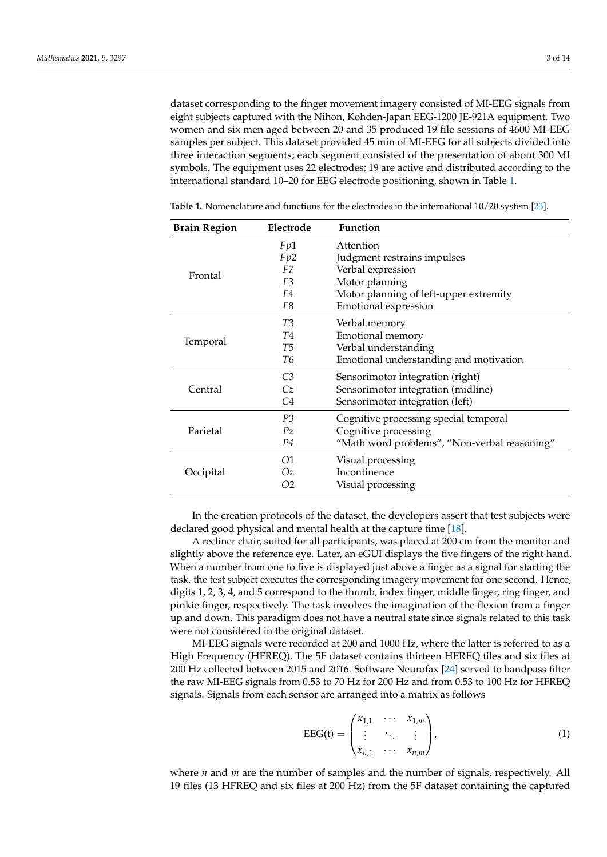dataset corresponding to the finger movement imagery consisted of MI-EEG signals from eight subjects captured with the Nihon, Kohden-Japan EEG-1200 JE-921A equipment. Two women and six men aged between 20 and 35 produced 19 file sessions of 4600 MI-EEG samples per subject. This dataset provided 45 min of MI-EEG for all subjects divided into three interaction segments; each segment consisted of the presentation of about 300 MI symbols. The equipment uses 22 electrodes; 19 are active and distributed according to the international standard 10–20 for EEG electrode positioning, shown in Table [1.](#page-2-0)

| <b>Brain Region</b> | Electrode      | <b>Function</b>                              |
|---------------------|----------------|----------------------------------------------|
|                     | Fp1            | Attention                                    |
| Frontal             | Fp2            | Judgment restrains impulses                  |
|                     | F7             | Verbal expression                            |
|                     | F <sub>3</sub> | Motor planning                               |
|                     | F4             | Motor planning of left-upper extremity       |
|                     | F8             | Emotional expression                         |
|                     | T <sub>3</sub> | Verbal memory                                |
|                     | <b>T4</b>      | Emotional memory                             |
| Temporal            | T <sub>5</sub> | Verbal understanding                         |
|                     | T6             | Emotional understanding and motivation       |
|                     | C <sub>3</sub> | Sensorimotor integration (right)             |
| Central             | Cz             | Sensorimotor integration (midline)           |
|                     | C4             | Sensorimotor integration (left)              |
|                     | P3             | Cognitive processing special temporal        |
| Parietal            | $P_{Z}$        | Cognitive processing                         |
|                     | P4             | "Math word problems", "Non-verbal reasoning" |
|                     | 01             | Visual processing                            |
| Occipital           | Ωz             | Incontinence                                 |
|                     | O2             | Visual processing                            |

<span id="page-2-0"></span>Table 1. Nomenclature and functions for the electrodes in the international  $10/20$  system [\[23\]](#page-12-17).

In the creation protocols of the dataset, the developers assert that test subjects were declared good physical and mental health at the capture time [\[18\]](#page-12-12).

A recliner chair, suited for all participants, was placed at 200 cm from the monitor and slightly above the reference eye. Later, an eGUI displays the five fingers of the right hand. When a number from one to five is displayed just above a finger as a signal for starting the task, the test subject executes the corresponding imagery movement for one second. Hence, digits 1, 2, 3, 4, and 5 correspond to the thumb, index finger, middle finger, ring finger, and pinkie finger, respectively. The task involves the imagination of the flexion from a finger up and down. This paradigm does not have a neutral state since signals related to this task were not considered in the original dataset.

MI-EEG signals were recorded at 200 and 1000 Hz, where the latter is referred to as a High Frequency (HFREQ). The 5F dataset contains thirteen HFREQ files and six files at 200 Hz collected between 2015 and 2016. Software Neurofax [\[24\]](#page-12-18) served to bandpass filter the raw MI-EEG signals from 0.53 to 70 Hz for 200 Hz and from 0.53 to 100 Hz for HFREQ signals. Signals from each sensor are arranged into a matrix as follows

$$
EEG(t) = \begin{pmatrix} x_{1,1} & \cdots & x_{1,m} \\ \vdots & \ddots & \vdots \\ x_{n,1} & \cdots & x_{n,m} \end{pmatrix},
$$
 (1)

where *n* and *m* are the number of samples and the number of signals, respectively. All 19 files (13 HFREQ and six files at 200 Hz) from the 5F dataset containing the captured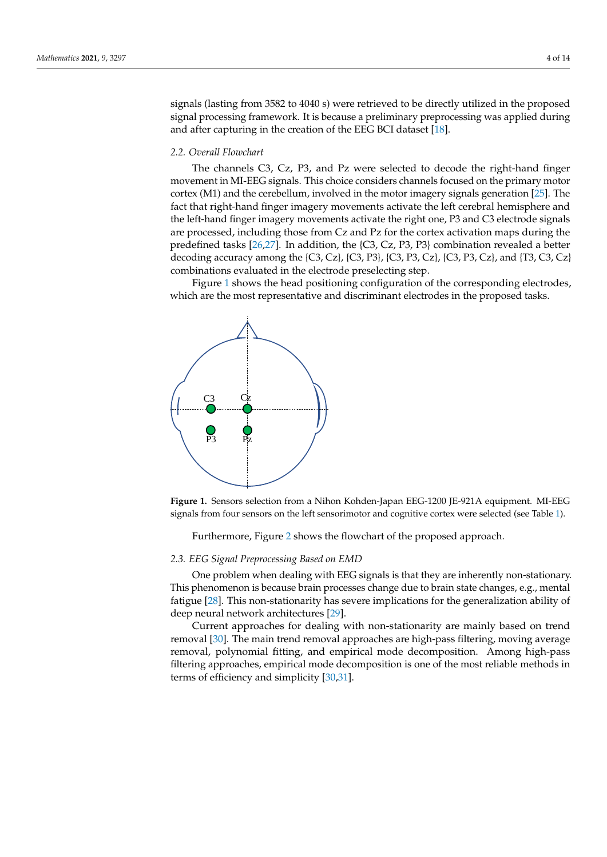signals (lasting from 3582 to 4040 s) were retrieved to be directly utilized in the proposed signal processing framework. It is because a preliminary preprocessing was applied during and after capturing in the creation of the EEG BCI dataset [\[18\]](#page-12-12).

# *2.2. Overall Flowchart*

The channels C3, Cz, P3, and Pz were selected to decode the right-hand finger movement in MI-EEG signals. This choice considers channels focused on the primary motor cortex (M1) and the cerebellum, involved in the motor imagery signals generation [\[25\]](#page-12-19). The fact that right-hand finger imagery movements activate the left cerebral hemisphere and the left-hand finger imagery movements activate the right one, P3 and C3 electrode signals are processed, including those from Cz and Pz for the cortex activation maps during the predefined tasks [\[26,](#page-12-20)[27\]](#page-12-21). In addition, the {C3, Cz, P3, P3} combination revealed a better decoding accuracy among the  $\{C_3, C_2\}$ ,  $\{C_3, P_3\}$ ,  $\{C_3, P_3, C_2\}$ ,  $\{C_3, P_3, C_2\}$ , and  $\{T_3, C_3, C_2\}$ combinations evaluated in the electrode preselecting step.

Figure [1](#page-3-0) shows the head positioning configuration of the corresponding electrodes, which are the most representative and discriminant electrodes in the proposed tasks.

<span id="page-3-0"></span>

**Figure 1.** Sensors selection from a Nihon Kohden-Japan EEG-1200 JE-921A equipment. MI-EEG signals from four sensors on the left sensorimotor and cognitive cortex were selected (see Table [1\)](#page-2-0).

Furthermore, Figure [2](#page-4-0) shows the flowchart of the proposed approach.

#### *2.3. EEG Signal Preprocessing Based on EMD*

One problem when dealing with EEG signals is that they are inherently non-stationary. This phenomenon is because brain processes change due to brain state changes, e.g., mental fatigue [\[28\]](#page-12-22). This non-stationarity has severe implications for the generalization ability of deep neural network architectures [\[29\]](#page-12-23).

Current approaches for dealing with non-stationarity are mainly based on trend removal [\[30\]](#page-12-24). The main trend removal approaches are high-pass filtering, moving average removal, polynomial fitting, and empirical mode decomposition. Among high-pass filtering approaches, empirical mode decomposition is one of the most reliable methods in terms of efficiency and simplicity [\[30,](#page-12-24)[31\]](#page-12-25).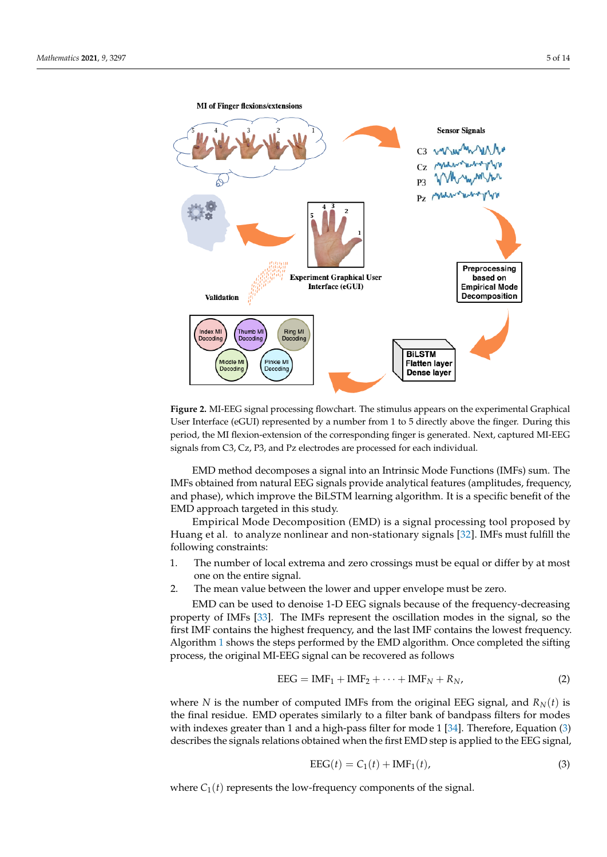<span id="page-4-0"></span>

**Figure 2.** MI-EEG signal processing flowchart. The stimulus appears on the experimental Graphical User Interface (eGUI) represented by a number from 1 to 5 directly above the finger. During this period, the MI flexion-extension of the corresponding finger is generated. Next, captured MI-EEG signals from C3, Cz, P3, and Pz electrodes are processed for each individual.

EMD method decomposes a signal into an Intrinsic Mode Functions (IMFs) sum. The IMFs obtained from natural EEG signals provide analytical features (amplitudes, frequency, and phase), which improve the BiLSTM learning algorithm. It is a specific benefit of the EMD approach targeted in this study.

Empirical Mode Decomposition (EMD) is a signal processing tool proposed by Huang et al. to analyze nonlinear and non-stationary signals [\[32\]](#page-12-26). IMFs must fulfill the following constraints:

- 1. The number of local extrema and zero crossings must be equal or differ by at most one on the entire signal.
- 2. The mean value between the lower and upper envelope must be zero.

EMD can be used to denoise 1-D EEG signals because of the frequency-decreasing property of IMFs [\[33\]](#page-12-27). The IMFs represent the oscillation modes in the signal, so the first IMF contains the highest frequency, and the last IMF contains the lowest frequency. Algorithm [1](#page-5-0) shows the steps performed by the EMD algorithm. Once completed the sifting process, the original MI-EEG signal can be recovered as follows

$$
EEG = IMF_1 + IMF_2 + \dots + IMF_N + R_N,
$$
\n(2)

where *N* is the number of computed IMFs from the original EEG signal, and  $R_N(t)$  is the final residue. EMD operates similarly to a filter bank of bandpass filters for modes with indexes greater than 1 and a high-pass filter for mode 1 [\[34\]](#page-13-0). Therefore, Equation [\(3\)](#page-4-1) describes the signals relations obtained when the first EMD step is applied to the EEG signal,

<span id="page-4-1"></span>
$$
EEG(t) = C_1(t) + IMF_1(t),
$$
\n(3)

where  $C_1(t)$  represents the low-frequency components of the signal.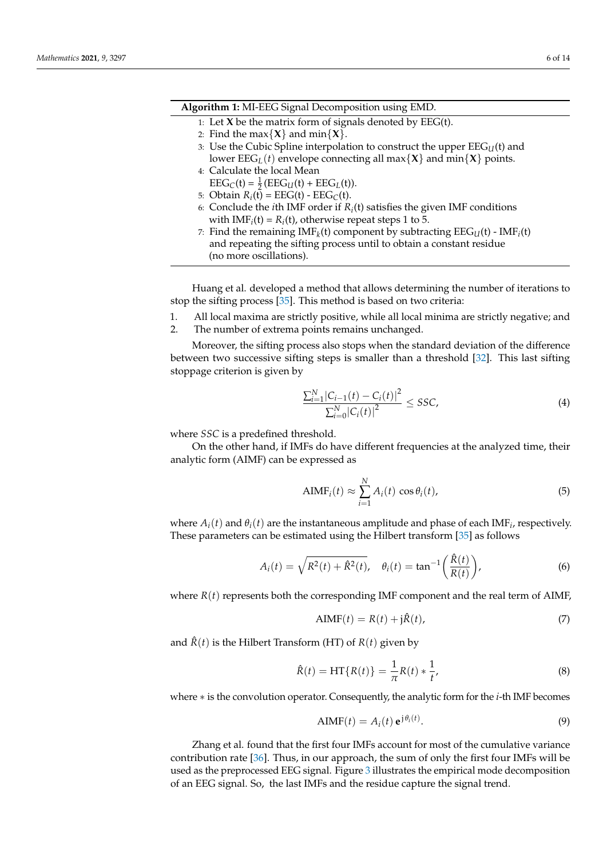#### **Algorithm 1:** MI-EEG Signal Decomposition using EMD.

- <span id="page-5-0"></span>1: Let **X** be the matrix form of signals denoted by EEG(t).
- 2: Find the max $\{X\}$  and min $\{X\}$ .
- 3: Use the Cubic Spline interpolation to construct the upper  $\text{EEG}_{U}(t)$  and lower  $\text{EEG}_{L}(t)$  envelope connecting all max $\{X\}$  and min $\{X\}$  points.
- 4: Calculate the local Mean
	- $\text{EEG}_{C}(t) = \frac{1}{2} (\text{EEG}_{U}(t) + \text{EEG}_{L}(t)).$
- 5: Obtain  $R_i(t) = EEG(t) EEG_C(t)$ .
- 6: Conclude the *i*th IMF order if  $R_i$ (t) satisfies the given IMF conditions with  $IMF_i(t) = R_i(t)$ , otherwise repeat steps 1 to 5.
- 7: Find the remaining  $IMF_k(t)$  component by subtracting  $\mathrm{EEG}_U(t)$   $IMF_i(t)$ and repeating the sifting process until to obtain a constant residue (no more oscillations).

Huang et al. developed a method that allows determining the number of iterations to stop the sifting process [\[35\]](#page-13-1). This method is based on two criteria:

- 1. All local maxima are strictly positive, while all local minima are strictly negative; and
- 2. The number of extrema points remains unchanged.

Moreover, the sifting process also stops when the standard deviation of the difference between two successive sifting steps is smaller than a threshold [\[32\]](#page-12-26). This last sifting stoppage criterion is given by

$$
\frac{\sum_{i=1}^{N} |C_{i-1}(t) - C_i(t)|^2}{\sum_{i=0}^{N} |C_i(t)|^2} \le SSC,
$$
\n(4)

where *SSC* is a predefined threshold.

On the other hand, if IMFs do have different frequencies at the analyzed time, their analytic form (AIMF) can be expressed as

$$
AIMF_i(t) \approx \sum_{i=1}^{N} A_i(t) \cos \theta_i(t),
$$
\n(5)

where  $A_i(t)$  and  $\theta_i(t)$  are the instantaneous amplitude and phase of each IMF<sub>i</sub>, respectively. These parameters can be estimated using the Hilbert transform [\[35\]](#page-13-1) as follows

$$
A_i(t) = \sqrt{R^2(t) + \hat{R}^2(t)}, \quad \theta_i(t) = \tan^{-1}\left(\frac{\hat{R}(t)}{R(t)}\right),
$$
 (6)

where  $R(t)$  represents both the corresponding IMF component and the real term of AIMF,

$$
AIMF(t) = R(t) + j\hat{R}(t),
$$
\n(7)

and  $\hat{R}(t)$  is the Hilbert Transform (HT) of  $R(t)$  given by

$$
\hat{R}(t) = HT\{R(t)\} = \frac{1}{\pi}R(t) * \frac{1}{t'},
$$
\n(8)

where ∗ is the convolution operator. Consequently, the analytic form for the *i*-th IMF becomes

$$
AIMF(t) = A_i(t) e^{j\theta_i(t)}.
$$
\n(9)

Zhang et al. found that the first four IMFs account for most of the cumulative variance contribution rate [\[36\]](#page-13-2). Thus, in our approach, the sum of only the first four IMFs will be used as the preprocessed EEG signal. Figure [3](#page-6-0) illustrates the empirical mode decomposition of an EEG signal. So, the last IMFs and the residue capture the signal trend.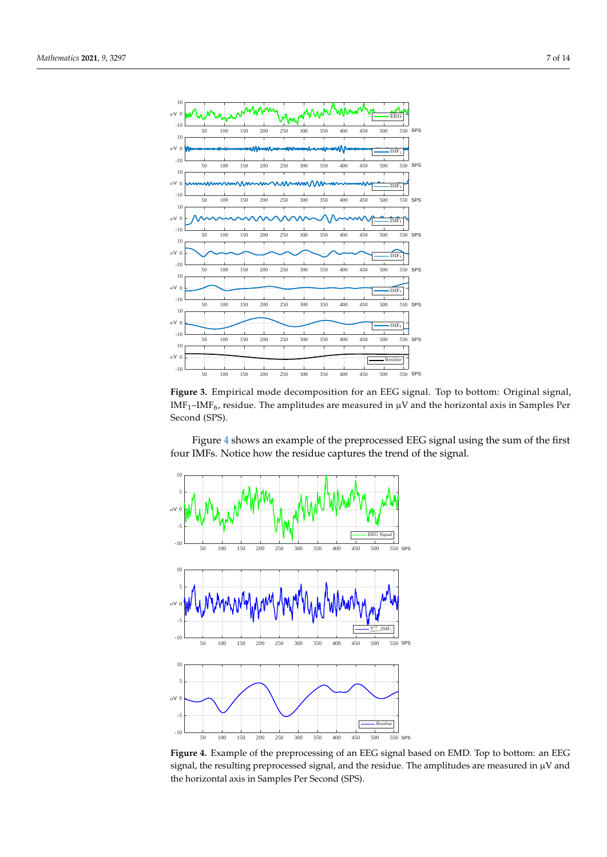<span id="page-6-0"></span>

**Figure 3.** Empirical mode decomposition for an EEG signal. Top to bottom: Original signal,  $IMF<sub>1</sub>–IMF<sub>6</sub>$ , residue. The amplitudes are measured in  $\mu$ V and the horizontal axis in Samples Per Second (SPS).

Figure [4](#page-6-1) shows an example of the preprocessed EEG signal using the sum of the first four IMFs. Notice how the residue captures the trend of the signal.

<span id="page-6-1"></span>

**Figure 4.** Example of the preprocessing of an EEG signal based on EMD. Top to bottom: an EEG signal, the resulting preprocessed signal, and the residue. The amplitudes are measured in  $\mu$ V and the horizontal axis in Samples Per Second (SPS).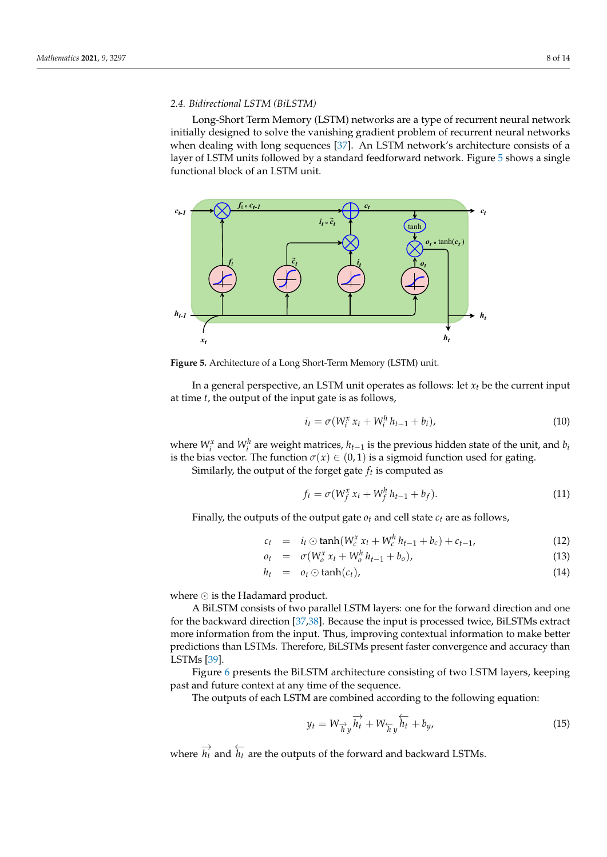# *2.4. Bidirectional LSTM (BiLSTM)* **Click to BUY NOW! <sup>P</sup>DF-XCha<sup>n</sup>g<sup>e</sup> <sup>E</sup>dito<sup>r</sup>**

2.4. *Bidirectional LSTM* (*BiLSTM*)<br>Long-Short Term Memory (LSTM) networks are a type of recurrent neural network initially designed to solve the vanishing gradient problem of recurrent neural networks when dealing with long sequences [\[37\]](#page-13-3). An LSTM network's architecture consists of a layer of LSTM units followed by a standard feedforward network. Figure [5](#page-7-0) shows a single functional block of an LSTM unit.

<span id="page-7-0"></span>

**Figure 5.** Architecture of a Long Short-Term Memory (LSTM) unit.

In a general perspective, an LSTM unit operates as follows: let  $x_t$  be the current input at time *t*, the output of the input gate is as follows,

$$
i_t = \sigma(W_i^x x_t + W_i^h h_{t-1} + b_i),
$$
\n(10)

where  $W_i^x$  and  $W_i^h$  are weight matrices,  $h_{t-1}$  is the previous hidden state of the unit, and  $b_i$ is the bias vector. The function  $\sigma(x) \in (0,1)$  is a sigmoid function used for gating.

Similarly, the output of the forget gate *f<sup>t</sup>* is computed as

$$
f_t = \sigma(W_f^x x_t + W_f^h h_{t-1} + b_f).
$$
 (11)

Finally, the outputs of the output gate  $o_t$  and cell state  $c_t$  are as follows,

$$
c_t = i_t \odot \tanh(W_c^x x_t + W_c^h h_{t-1} + b_c) + c_{t-1}, \qquad (12)
$$

$$
o_t = \sigma(W_o^x x_t + W_o^h h_{t-1} + b_o), \qquad (13)
$$

$$
h_t = o_t \odot \tanh(c_t), \qquad (14)
$$

where  $\odot$  is the Hadamard product.

A BiLSTM consists of two parallel LSTM layers: one for the forward direction and one for the backward direction [\[37,](#page-13-3)[38\]](#page-13-4). Because the input is processed twice, BiLSTMs extract more information from the input. Thus, improving contextual information to make better predictions than LSTMs. Therefore, BiLSTMs present faster convergence and accuracy than LSTMs [\[39\]](#page-13-5).

Figure [6](#page-8-0) presents the BiLSTM architecture consisting of two LSTM layers, keeping past and future context at any time of the sequence.

The outputs of each LSTM are combined according to the following equation:

$$
y_t = W_{\overrightarrow{h}y} \overrightarrow{h_t} + W_{\overleftarrow{h}y} \overleftarrow{h_t} + b_y, \qquad (15)
$$

where  $\overrightarrow{h_t}$  and  $\overleftarrow{h_t}$  are the outputs of the forward and backward LSTMs.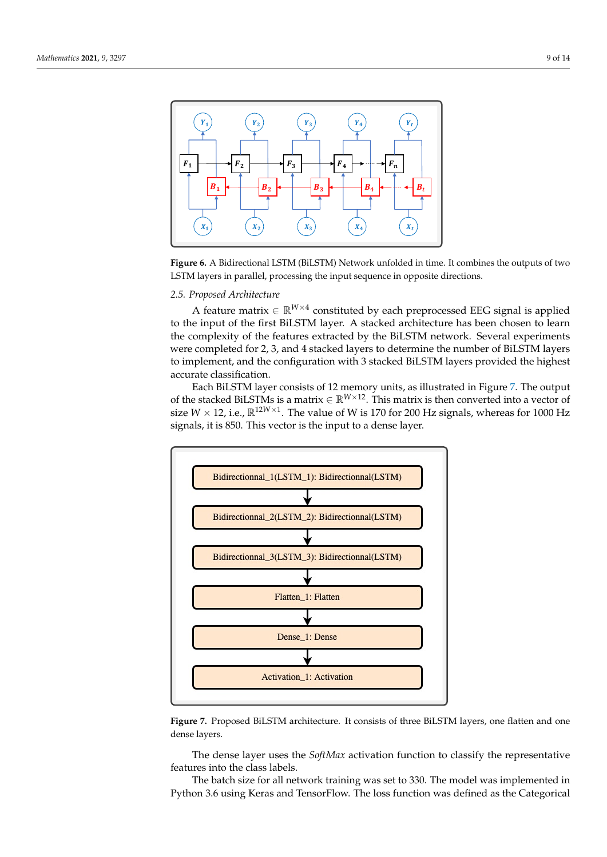<span id="page-8-0"></span>

**Figure 6.** A Bidirectional LSTM (BiLSTM) Network unfolded in time. It combines the outputs of two LSTM layers in parallel, processing the input sequence in opposite directions.

# *2.5. Proposed Architecture*

A feature matrix  $\in \mathbb{R}^{W \times 4}$  constituted by each preprocessed EEG signal is applied to the input of the first BiLSTM layer. A stacked architecture has been chosen to learn the complexity of the features extracted by the BiLSTM network. Several experiments were completed for 2, 3, and 4 stacked layers to determine the number of BiLSTM layers to implement, and the configuration with 3 stacked BiLSTM layers provided the highest accurate classification.

Each BiLSTM layer consists of 12 memory units, as illustrated in Figure [7.](#page-8-1) The output of the stacked BiLSTMs is a matrix  $\in \mathbb{R}^{W \times 12}$ . This matrix is then converted into a vector of size  $W \times 12$ , i.e.,  $\mathbb{R}^{12W \times 1}$ . The value of W is 170 for 200 Hz signals, whereas for 1000 Hz signals, it is 850. This vector is the input to a dense layer.

<span id="page-8-1"></span>

**Figure 7.** Proposed BiLSTM architecture. It consists of three BiLSTM layers, one flatten and one dense layers.

The dense layer uses the *SoftMax* activation function to classify the representative features into the class labels.

The batch size for all network training was set to 330. The model was implemented in Python 3.6 using Keras and TensorFlow. The loss function was defined as the Categorical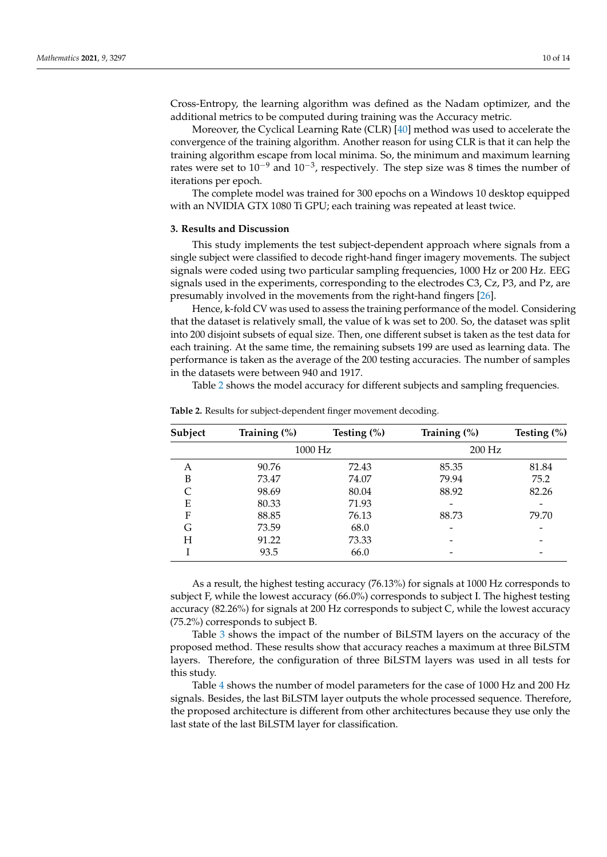Cross-Entropy, the learning algorithm was defined as the Nadam optimizer, and the additional metrics to be computed during training was the Accuracy metric.

Moreover, the Cyclical Learning Rate (CLR) [\[40\]](#page-13-6) method was used to accelerate the convergence of the training algorithm. Another reason for using CLR is that it can help the training algorithm escape from local minima. So, the minimum and maximum learning rates were set to 10<sup>-9</sup> and 10<sup>-3</sup>, respectively. The step size was 8 times the number of iterations per epoch.

The complete model was trained for 300 epochs on a Windows 10 desktop equipped with an NVIDIA GTX 1080 Ti GPU; each training was repeated at least twice.

#### **3. Results and Discussion**

This study implements the test subject-dependent approach where signals from a single subject were classified to decode right-hand finger imagery movements. The subject signals were coded using two particular sampling frequencies, 1000 Hz or 200 Hz. EEG signals used in the experiments, corresponding to the electrodes C3, Cz, P3, and Pz, are presumably involved in the movements from the right-hand fingers [\[26\]](#page-12-20).

Hence, k-fold CV was used to assess the training performance of the model. Considering that the dataset is relatively small, the value of k was set to 200. So, the dataset was split into 200 disjoint subsets of equal size. Then, one different subset is taken as the test data for each training. At the same time, the remaining subsets 199 are used as learning data. The performance is taken as the average of the 200 testing accuracies. The number of samples in the datasets were between 940 and 1917.

Table [2](#page-9-0) shows the model accuracy for different subjects and sampling frequencies.

| Subject | Training $(\%)$ | Testing $(\%)$ | Training (%) | Testing $(\%)$ |
|---------|-----------------|----------------|--------------|----------------|
|         | 1000 Hz         |                | $200$ Hz     |                |
| Α       | 90.76           | 72.43          | 85.35        | 81.84          |
| B       | 73.47           | 74.07          | 79.94        | 75.2           |
| C       | 98.69           | 80.04          | 88.92        | 82.26          |
| Ε       | 80.33           | 71.93          |              |                |
| F       | 88.85           | 76.13          | 88.73        | 79.70          |
| G       | 73.59           | 68.0           |              |                |
| Н       | 91.22           | 73.33          |              |                |
|         | 93.5            | 66.0           |              |                |
|         |                 |                |              |                |

<span id="page-9-0"></span>**Table 2.** Results for subject-dependent finger movement decoding.

As a result, the highest testing accuracy (76.13%) for signals at 1000 Hz corresponds to subject F, while the lowest accuracy (66.0%) corresponds to subject I. The highest testing accuracy (82.26%) for signals at 200 Hz corresponds to subject C, while the lowest accuracy (75.2%) corresponds to subject B.

Table [3](#page-10-0) shows the impact of the number of BiLSTM layers on the accuracy of the proposed method. These results show that accuracy reaches a maximum at three BiLSTM layers. Therefore, the configuration of three BiLSTM layers was used in all tests for this study.

Table [4](#page-10-1) shows the number of model parameters for the case of 1000 Hz and 200 Hz signals. Besides, the last BiLSTM layer outputs the whole processed sequence. Therefore, the proposed architecture is different from other architectures because they use only the last state of the last BiLSTM layer for classification.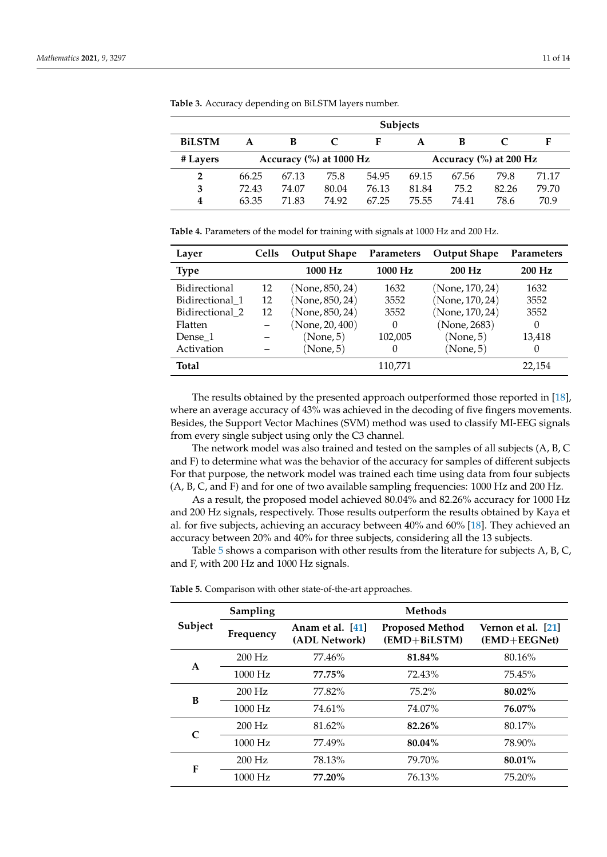|                | <b>Subjects</b> |                                        |       |       |                        |       |       |       |
|----------------|-----------------|----------------------------------------|-------|-------|------------------------|-------|-------|-------|
| <b>BiLSTM</b>  |                 | В                                      |       | F     |                        | В     |       | F     |
| # Layers       |                 | Accuracy $\left(\% \right)$ at 1000 Hz |       |       | Accuracy (%) at 200 Hz |       |       |       |
| $\overline{2}$ | 66.25           | 67.13                                  | 75.8  | 54.95 | 69.15                  | 67.56 | 79.8  | 71.17 |
| 3              | 72.43           | 74.07                                  | 80.04 | 76.13 | 81.84                  | 75.2  | 82.26 | 79.70 |
| 4              | 63.35           | 71.83                                  | 74.92 | 67.25 | 75.55                  | 74.41 | 78.6  | 70.9  |

<span id="page-10-0"></span>**Table 3.** Accuracy depending on BiLSTM layers number.

<span id="page-10-1"></span>**Table 4.** Parameters of the model for training with signals at 1000 Hz and 200 Hz.

| Layer           | Cells | <b>Output Shape</b> | <b>Parameters</b> | <b>Output Shape</b> | <b>Parameters</b> |
|-----------------|-------|---------------------|-------------------|---------------------|-------------------|
| <b>Type</b>     |       | 1000 Hz             | 1000 Hz           | 200 Hz              | 200 Hz            |
| Bidirectional   | 12    | (None, 850, 24)     | 1632              | (None, 170, 24)     | 1632              |
| Bidirectional 1 | 12    | (None, 850, 24)     | 3552              | (None, 170, 24)     | 3552              |
| Bidirectional 2 | 12    | (None, 850, 24)     | 3552              | (None, 170, 24)     | 3552              |
| Flatten         |       | (None, 20, 400)     | 0                 | (None, 2683)        | 0                 |
| Dense 1         |       | (None, 5)           | 102,005           | (None, 5)           | 13,418            |
| Activation      |       | (None, 5)           | 0                 | (None, 5)           | $\theta$          |
| <b>Total</b>    |       |                     | 110,771           |                     | 22,154            |

The results obtained by the presented approach outperformed those reported in [\[18\]](#page-12-12), where an average accuracy of 43% was achieved in the decoding of five fingers movements. Besides, the Support Vector Machines (SVM) method was used to classify MI-EEG signals from every single subject using only the C3 channel.

The network model was also trained and tested on the samples of all subjects (A, B, C and F) to determine what was the behavior of the accuracy for samples of different subjects For that purpose, the network model was trained each time using data from four subjects (A, B, C, and F) and for one of two available sampling frequencies: 1000 Hz and 200 Hz.

As a result, the proposed model achieved 80.04% and 82.26% accuracy for 1000 Hz and 200 Hz signals, respectively. Those results outperform the results obtained by Kaya et al. for five subjects, achieving an accuracy between 40% and 60% [\[18\]](#page-12-12). They achieved an accuracy between 20% and 40% for three subjects, considering all the 13 subjects.

Table [5](#page-10-2) shows a comparison with other results from the literature for subjects A, B, C, and F, with 200 Hz and 1000 Hz signals.

|                             | Sampling  | <b>Methods</b>                    |                                        |                                        |  |  |
|-----------------------------|-----------|-----------------------------------|----------------------------------------|----------------------------------------|--|--|
| Subject                     | Frequency | Anam et al. [41]<br>(ADL Network) | <b>Proposed Method</b><br>(EMD+BiLSTM) | Vernon et al. [21]<br>$(EMD + EEGNet)$ |  |  |
| A                           | $200$ Hz  | 77.46%                            | 81.84%                                 | 80.16%                                 |  |  |
|                             | 1000 Hz   | 77.75%                            | 72.43%                                 | 75.45%                                 |  |  |
| B                           | $200$ Hz  | 77.82%                            | $75.2\%$                               | 80.02%                                 |  |  |
|                             | 1000 Hz   | 74.61%                            | 74.07%                                 | 76.07%                                 |  |  |
| $\mathcal{C}_{\mathcal{C}}$ | $200$ Hz  | $81.62\%$                         | 82.26%                                 | 80.17%                                 |  |  |
|                             | 1000 Hz   | 77.49%                            | $80.04\%$                              | 78.90%                                 |  |  |
| F                           | $200$ Hz  | 78.13%                            | 79.70%                                 | 80.01%                                 |  |  |
|                             | $1000$ Hz | $77.20\%$                         | 76.13%                                 | 75.20%                                 |  |  |

<span id="page-10-2"></span>**Table 5.** Comparison with other state-of-the-art approaches.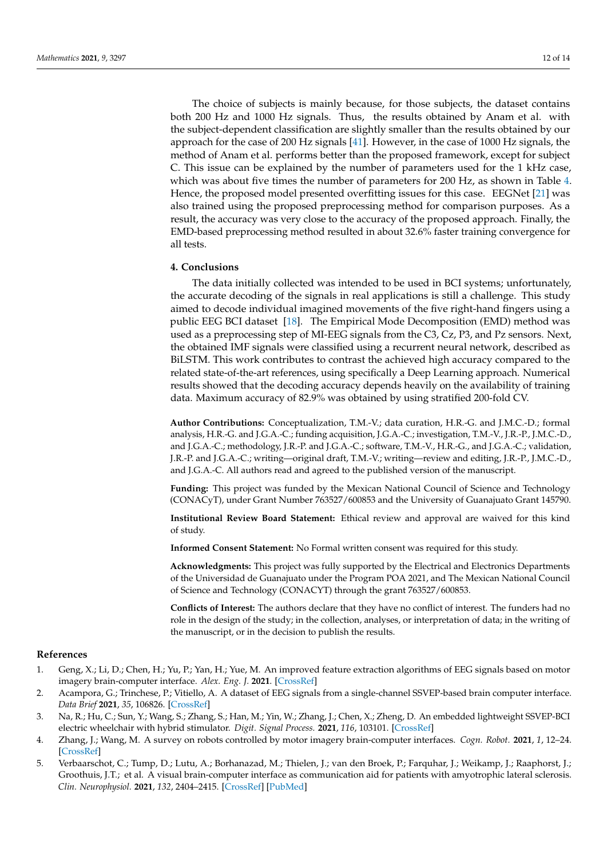The choice of subjects is mainly because, for those subjects, the dataset contains both 200 Hz and 1000 Hz signals. Thus, the results obtained by Anam et al. with the subject-dependent classification are slightly smaller than the results obtained by our approach for the case of 200 Hz signals [\[41\]](#page-13-7). However, in the case of 1000 Hz signals, the method of Anam et al. performs better than the proposed framework, except for subject C. This issue can be explained by the number of parameters used for the 1 kHz case, which was about five times the number of parameters for 200 Hz, as shown in Table [4.](#page-10-1) Hence, the proposed model presented overfitting issues for this case. EEGNet [\[21\]](#page-12-15) was also trained using the proposed preprocessing method for comparison purposes. As a result, the accuracy was very close to the accuracy of the proposed approach. Finally, the EMD-based preprocessing method resulted in about 32.6% faster training convergence for all tests.

#### **4. Conclusions**

The data initially collected was intended to be used in BCI systems; unfortunately, the accurate decoding of the signals in real applications is still a challenge. This study aimed to decode individual imagined movements of the five right-hand fingers using a public EEG BCI dataset [\[18\]](#page-12-12). The Empirical Mode Decomposition (EMD) method was used as a preprocessing step of MI-EEG signals from the C3, Cz, P3, and Pz sensors. Next, the obtained IMF signals were classified using a recurrent neural network, described as BiLSTM. This work contributes to contrast the achieved high accuracy compared to the related state-of-the-art references, using specifically a Deep Learning approach. Numerical results showed that the decoding accuracy depends heavily on the availability of training data. Maximum accuracy of 82.9% was obtained by using stratified 200-fold CV.

**Author Contributions:** Conceptualization, T.M.-V.; data curation, H.R.-G. and J.M.C.-D.; formal analysis, H.R.-G. and J.G.A.-C.; funding acquisition, J.G.A.-C.; investigation, T.M.-V., J.R.-P., J.M.C.-D., and J.G.A.-C.; methodology, J.R.-P. and J.G.A.-C.; software, T.M.-V., H.R.-G., and J.G.A.-C.; validation, J.R.-P. and J.G.A.-C.; writing—original draft, T.M.-V.; writing—review and editing, J.R.-P., J.M.C.-D., and J.G.A.-C. All authors read and agreed to the published version of the manuscript.

**Funding:** This project was funded by the Mexican National Council of Science and Technology (CONACyT), under Grant Number 763527/600853 and the University of Guanajuato Grant 145790.

**Institutional Review Board Statement:** Ethical review and approval are waived for this kind of study.

**Informed Consent Statement:** No Formal written consent was required for this study.

**Acknowledgments:** This project was fully supported by the Electrical and Electronics Departments of the Universidad de Guanajuato under the Program POA 2021, and The Mexican National Council of Science and Technology (CONACYT) through the grant 763527/600853.

**Conflicts of Interest:** The authors declare that they have no conflict of interest. The funders had no role in the design of the study; in the collection, analyses, or interpretation of data; in the writing of the manuscript, or in the decision to publish the results.

## **References**

- <span id="page-11-0"></span>1. Geng, X.; Li, D.; Chen, H.; Yu, P.; Yan, H.; Yue, M. An improved feature extraction algorithms of EEG signals based on motor imagery brain-computer interface. *Alex. Eng. J.* **2021**. [\[CrossRef\]](http://doi.org/10.1016/j.aej.2021.10.034)
- <span id="page-11-1"></span>2. Acampora, G.; Trinchese, P.; Vitiello, A. A dataset of EEG signals from a single-channel SSVEP-based brain computer interface. *Data Brief* **2021**, *35*, 106826. [\[CrossRef\]](http://dx.doi.org/10.1016/j.dib.2021.106826)
- <span id="page-11-2"></span>3. Na, R.; Hu, C.; Sun, Y.; Wang, S.; Zhang, S.; Han, M.; Yin, W.; Zhang, J.; Chen, X.; Zheng, D. An embedded lightweight SSVEP-BCI electric wheelchair with hybrid stimulator. *Digit. Signal Process.* **2021**, *116*, 103101. [\[CrossRef\]](http://dx.doi.org/10.1016/j.dsp.2021.103101)
- <span id="page-11-3"></span>4. Zhang, J.; Wang, M. A survey on robots controlled by motor imagery brain-computer interfaces. *Cogn. Robot.* **2021**, *1*, 12–24. [\[CrossRef\]](http://dx.doi.org/10.1016/j.cogr.2021.02.001)
- <span id="page-11-4"></span>5. Verbaarschot, C.; Tump, D.; Lutu, A.; Borhanazad, M.; Thielen, J.; van den Broek, P.; Farquhar, J.; Weikamp, J.; Raaphorst, J.; Groothuis, J.T.; et al. A visual brain-computer interface as communication aid for patients with amyotrophic lateral sclerosis. *Clin. Neurophysiol.* **2021**, *132*, 2404–2415. [\[CrossRef\]](http://dx.doi.org/10.1016/j.clinph.2021.07.012) [\[PubMed\]](http://www.ncbi.nlm.nih.gov/pubmed/34454267)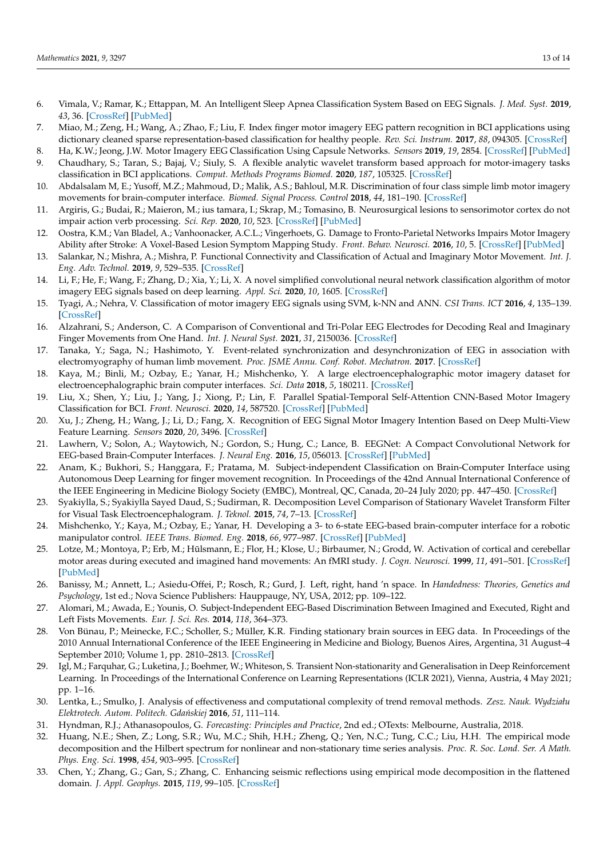- <span id="page-12-0"></span>6. Vimala, V.; Ramar, K.; Ettappan, M. An Intelligent Sleep Apnea Classification System Based on EEG Signals. *J. Med. Syst.* **2019**, *43*, 36. [\[CrossRef\]](http://dx.doi.org/10.1007/s10916-018-1146-8) [\[PubMed\]](http://www.ncbi.nlm.nih.gov/pubmed/30617508)
- <span id="page-12-1"></span>7. Miao, M.; Zeng, H.; Wang, A.; Zhao, F.; Liu, F. Index finger motor imagery EEG pattern recognition in BCI applications using dictionary cleaned sparse representation-based classification for healthy people. *Rev. Sci. Instrum.* **2017**, *88*, 094305. [\[CrossRef\]](http://dx.doi.org/10.1063/1.5001896)
- <span id="page-12-2"></span>8. Ha, K.W.; Jeong, J.W. Motor Imagery EEG Classification Using Capsule Networks. *Sensors* **2019**, *19*, 2854. [\[CrossRef\]](http://dx.doi.org/10.3390/s19132854) [\[PubMed\]](http://www.ncbi.nlm.nih.gov/pubmed/31252557)
- <span id="page-12-3"></span>9. Chaudhary, S.; Taran, S.; Bajaj, V.; Siuly, S. A flexible analytic wavelet transform based approach for motor-imagery tasks classification in BCI applications. *Comput. Methods Programs Biomed.* **2020**, *187*, 105325. [\[CrossRef\]](http://dx.doi.org/10.1016/j.cmpb.2020.105325)
- <span id="page-12-4"></span>10. Abdalsalam M, E.; Yusoff, M.Z.; Mahmoud, D.; Malik, A.S.; Bahloul, M.R. Discrimination of four class simple limb motor imagery movements for brain-computer interface. *Biomed. Signal Process. Control* **2018**, *44*, 181–190. [\[CrossRef\]](http://dx.doi.org/10.1016/j.bspc.2018.04.010)
- <span id="page-12-5"></span>11. Argiris, G.; Budai, R.; Maieron, M.; ius tamara, I.; Skrap, M.; Tomasino, B. Neurosurgical lesions to sensorimotor cortex do not impair action verb processing. *Sci. Rep.* **2020**, *10*, 523. [\[CrossRef\]](http://dx.doi.org/10.1038/s41598-019-57361-3) [\[PubMed\]](http://www.ncbi.nlm.nih.gov/pubmed/31949237)
- <span id="page-12-6"></span>12. Oostra, K.M.; Van Bladel, A.; Vanhoonacker, A.C.L.; Vingerhoets, G. Damage to Fronto-Parietal Networks Impairs Motor Imagery Ability after Stroke: A Voxel-Based Lesion Symptom Mapping Study. *Front. Behav. Neurosci.* **2016**, *10*, 5. [\[CrossRef\]](http://dx.doi.org/10.3389/fnbeh.2016.00005) [\[PubMed\]](http://www.ncbi.nlm.nih.gov/pubmed/26869894)
- <span id="page-12-7"></span>13. Salankar, N.; Mishra, A.; Mishra, P. Functional Connectivity and Classification of Actual and Imaginary Motor Movement. *Int. J. Eng. Adv. Technol.* **2019**, *9*, 529–535. [\[CrossRef\]](http://dx.doi.org/10.35940/ijeat.B3257.129219)
- <span id="page-12-8"></span>14. Li, F.; He, F.; Wang, F.; Zhang, D.; Xia, Y.; Li, X. A novel simplified convolutional neural network classification algorithm of motor imagery EEG signals based on deep learning. *Appl. Sci.* **2020**, *10*, 1605. [\[CrossRef\]](http://dx.doi.org/10.3390/app10051605)
- <span id="page-12-9"></span>15. Tyagi, A.; Nehra, V. Classification of motor imagery EEG signals using SVM, k-NN and ANN. *CSI Trans. ICT* **2016**, *4*, 135–139. [\[CrossRef\]](http://dx.doi.org/10.1007/s40012-016-0091-2)
- <span id="page-12-10"></span>16. Alzahrani, S.; Anderson, C. A Comparison of Conventional and Tri-Polar EEG Electrodes for Decoding Real and Imaginary Finger Movements from One Hand. *Int. J. Neural Syst.* **2021**, *31*, 2150036. [\[CrossRef\]](http://dx.doi.org/10.1142/S0129065721500362)
- <span id="page-12-11"></span>17. Tanaka, Y.; Saga, N.; Hashimoto, Y. Event-related synchronization and desynchronization of EEG in association with electromyography of human limb movement. *Proc. JSME Annu. Conf. Robot. Mechatron.* **2017**. [\[CrossRef\]](http://dx.doi.org/10.1299/jsmermd.2017.1P2-O08)
- <span id="page-12-12"></span>18. Kaya, M.; Binli, M.; Ozbay, E.; Yanar, H.; Mishchenko, Y. A large electroencephalographic motor imagery dataset for electroencephalographic brain computer interfaces. *Sci. Data* **2018**, *5*, 180211. [\[CrossRef\]](http://dx.doi.org/10.1038/sdata.2018.211)
- <span id="page-12-13"></span>19. Liu, X.; Shen, Y.; Liu, J.; Yang, J.; Xiong, P.; Lin, F. Parallel Spatial-Temporal Self-Attention CNN-Based Motor Imagery Classification for BCI. *Front. Neurosci.* **2020**, *14*, 587520. [\[CrossRef\]](http://dx.doi.org/10.3389/fnins.2020.587520) [\[PubMed\]](http://www.ncbi.nlm.nih.gov/pubmed/33362458)
- <span id="page-12-14"></span>20. Xu, J.; Zheng, H.; Wang, J.; Li, D.; Fang, X. Recognition of EEG Signal Motor Imagery Intention Based on Deep Multi-View Feature Learning. *Sensors* **2020**, *20*, 3496. [\[CrossRef\]](http://dx.doi.org/10.3390/s20123496)
- <span id="page-12-15"></span>21. Lawhern, V.; Solon, A.; Waytowich, N.; Gordon, S.; Hung, C.; Lance, B. EEGNet: A Compact Convolutional Network for EEG-based Brain-Computer Interfaces. *J. Neural Eng.* **2016**, *15*, 056013. [\[CrossRef\]](http://dx.doi.org/10.1088/1741-2552/aace8c) [\[PubMed\]](http://www.ncbi.nlm.nih.gov/pubmed/29932424)
- <span id="page-12-16"></span>22. Anam, K.; Bukhori, S.; Hanggara, F.; Pratama, M. Subject-independent Classification on Brain-Computer Interface using Autonomous Deep Learning for finger movement recognition. In Proceedings of the 42nd Annual International Conference of the IEEE Engineering in Medicine Biology Society (EMBC), Montreal, QC, Canada, 20–24 July 2020; pp. 447–450. [\[CrossRef\]](http://dx.doi.org/10.1109/EMBC44109.2020.9175718)
- <span id="page-12-17"></span>23. Syakiylla, S.; Syakiylla Sayed Daud, S.; Sudirman, R. Decomposition Level Comparison of Stationary Wavelet Transform Filter for Visual Task Electroencephalogram. *J. Teknol.* **2015**, *74*, 7–13. [\[CrossRef\]](http://dx.doi.org/10.11113/jt.v74.4661)
- <span id="page-12-18"></span>24. Mishchenko, Y.; Kaya, M.; Ozbay, E.; Yanar, H. Developing a 3- to 6-state EEG-based brain-computer interface for a robotic manipulator control. *IEEE Trans. Biomed. Eng.* **2018**, *66*, 977–987. [\[CrossRef\]](http://dx.doi.org/10.1109/TBME.2018.2865941) [\[PubMed\]](http://www.ncbi.nlm.nih.gov/pubmed/30130168)
- <span id="page-12-19"></span>25. Lotze, M.; Montoya, P.; Erb, M.; Hülsmann, E.; Flor, H.; Klose, U.; Birbaumer, N.; Grodd, W. Activation of cortical and cerebellar motor areas during executed and imagined hand movements: An fMRI study. *J. Cogn. Neurosci.* **1999**, *11*, 491–501. [\[CrossRef\]](http://dx.doi.org/10.1162/089892999563553) [\[PubMed\]](http://www.ncbi.nlm.nih.gov/pubmed/10511638)
- <span id="page-12-20"></span>26. Banissy, M.; Annett, L.; Asiedu-Offei, P.; Rosch, R.; Gurd, J. Left, right, hand 'n space. In *Handedness: Theories, Genetics and Psychology*, 1st ed.; Nova Science Publishers: Hauppauge, NY, USA, 2012; pp. 109–122.
- <span id="page-12-21"></span>27. Alomari, M.; Awada, E.; Younis, O. Subject-Independent EEG-Based Discrimination Between Imagined and Executed, Right and Left Fists Movements. *Eur. J. Sci. Res.* **2014**, *118*, 364–373.
- <span id="page-12-22"></span>28. Von Bünau, P.; Meinecke, F.C.; Scholler, S.; Müller, K.R. Finding stationary brain sources in EEG data. In Proceedings of the 2010 Annual International Conference of the IEEE Engineering in Medicine and Biology, Buenos Aires, Argentina, 31 August–4 September 2010; Volume 1, pp. 2810–2813. [\[CrossRef\]](http://dx.doi.org/10.1109/IEMBS.2010.5626537)
- <span id="page-12-23"></span>29. Igl, M.; Farquhar, G.; Luketina, J.; Boehmer, W.; Whiteson, S. Transient Non-stationarity and Generalisation in Deep Reinforcement Learning. In Proceedings of the International Conference on Learning Representations (ICLR 2021), Vienna, Austria, 4 May 2021; pp. 1–16.
- <span id="page-12-24"></span>30. Lentka, Ł.; Smulko, J. Analysis of effectiveness and computational complexity of trend removal methods. *Zesz. Nauk. Wydziału Elektrotech. Autom. Politech. Gda ´nskiej* **2016**, *51*, 111–114.
- <span id="page-12-25"></span>31. Hyndman, R.J.; Athanasopoulos, G. *Forecasting: Principles and Practice*, 2nd ed.; OTexts: Melbourne, Australia, 2018.
- <span id="page-12-26"></span>32. Huang, N.E.; Shen, Z.; Long, S.R.; Wu, M.C.; Shih, H.H.; Zheng, Q.; Yen, N.C.; Tung, C.C.; Liu, H.H. The empirical mode decomposition and the Hilbert spectrum for nonlinear and non-stationary time series analysis. *Proc. R. Soc. Lond. Ser. A Math. Phys. Eng. Sci.* **1998**, *454*, 903–995. [\[CrossRef\]](http://dx.doi.org/10.1098/rspa.1998.0193)
- <span id="page-12-27"></span>33. Chen, Y.; Zhang, G.; Gan, S.; Zhang, C. Enhancing seismic reflections using empirical mode decomposition in the flattened domain. *J. Appl. Geophys.* **2015**, *119*, 99–105. [\[CrossRef\]](http://dx.doi.org/10.1016/j.jappgeo.2015.05.012)